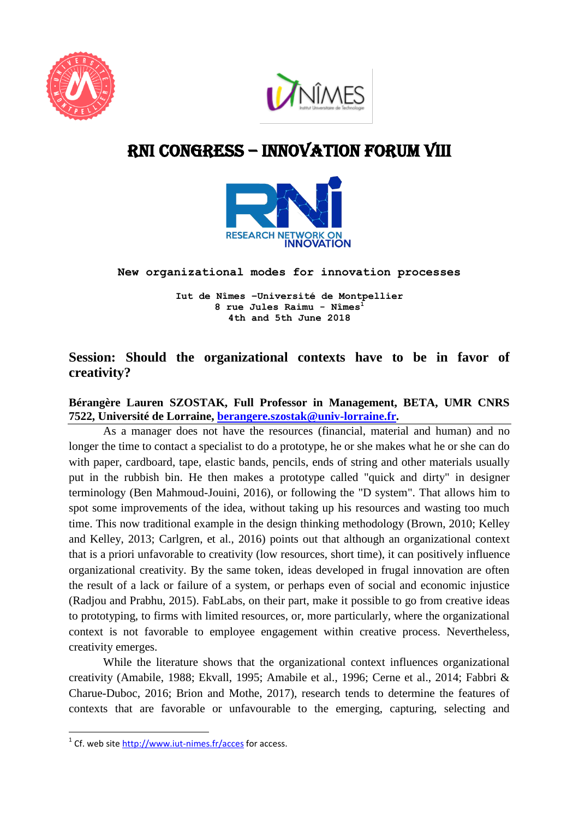



# RNI cONGRESS – innovation Forum VIII



#### **New organizational modes for innovation processes**

**Iut de Nîmes –Université de Montpellier 8 rue Jules Raimu - Nîmes<sup>1</sup> 4th and 5th June 2018**

# **Session: Should the organizational contexts have to be in favor of creativity?**

## **Bérangère Lauren SZOSTAK, Full Professor in Management, BETA, UMR CNRS 7522, Université de Lorraine, [berangere.szostak@univ-lorraine.fr.](mailto:berangere.szostak@univ-lorraine.fr)**

As a manager does not have the resources (financial, material and human) and no longer the time to contact a specialist to do a prototype, he or she makes what he or she can do with paper, cardboard, tape, elastic bands, pencils, ends of string and other materials usually put in the rubbish bin. He then makes a prototype called "quick and dirty" in designer terminology (Ben Mahmoud-Jouini, 2016), or following the "D system". That allows him to spot some improvements of the idea, without taking up his resources and wasting too much time. This now traditional example in the design thinking methodology (Brown, 2010; Kelley and Kelley, 2013; Carlgren, et al., 2016) points out that although an organizational context that is a priori unfavorable to creativity (low resources, short time), it can positively influence organizational creativity. By the same token, ideas developed in frugal innovation are often the result of a lack or failure of a system, or perhaps even of social and economic injustice (Radjou and Prabhu, 2015). FabLabs, on their part, make it possible to go from creative ideas to prototyping, to firms with limited resources, or, more particularly, where the organizational context is not favorable to employee engagement within creative process. Nevertheless, creativity emerges.

While the literature shows that the organizational context influences organizational creativity (Amabile, 1988; Ekvall, 1995; Amabile et al., 1996; Cerne et al., 2014; Fabbri & Charue-Duboc, 2016; Brion and Mothe, 2017), research tends to determine the features of contexts that are favorable or unfavourable to the emerging, capturing, selecting and

**.** 

<sup>&</sup>lt;sup>1</sup> Cf. web site<http://www.iut-nimes.fr/acces> for access.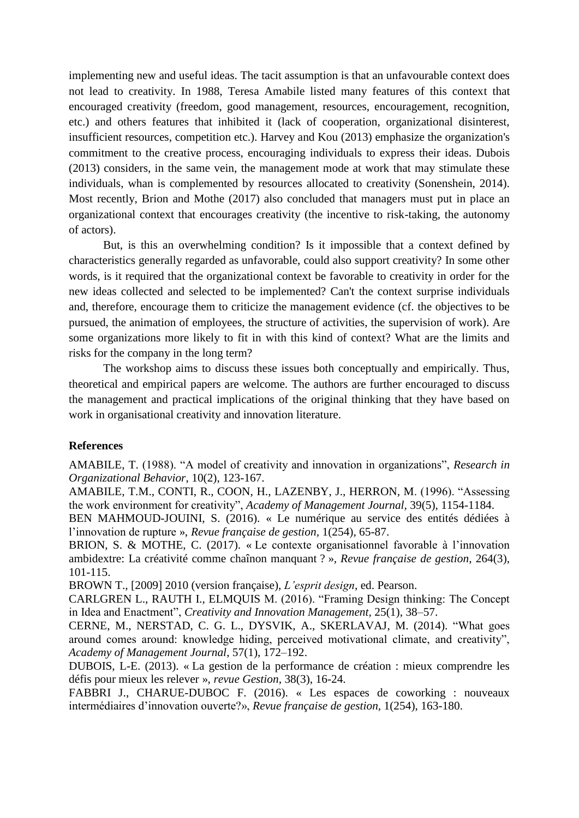implementing new and useful ideas. The tacit assumption is that an unfavourable context does not lead to creativity. In 1988, Teresa Amabile listed many features of this context that encouraged creativity (freedom, good management, resources, encouragement, recognition, etc.) and others features that inhibited it (lack of cooperation, organizational disinterest, insufficient resources, competition etc.). Harvey and Kou (2013) emphasize the organization's commitment to the creative process, encouraging individuals to express their ideas. Dubois (2013) considers, in the same vein, the management mode at work that may stimulate these individuals, whan is complemented by resources allocated to creativity (Sonenshein, 2014). Most recently, Brion and Mothe (2017) also concluded that managers must put in place an organizational context that encourages creativity (the incentive to risk-taking, the autonomy of actors).

But, is this an overwhelming condition? Is it impossible that a context defined by characteristics generally regarded as unfavorable, could also support creativity? In some other words, is it required that the organizational context be favorable to creativity in order for the new ideas collected and selected to be implemented? Can't the context surprise individuals and, therefore, encourage them to criticize the management evidence (cf. the objectives to be pursued, the animation of employees, the structure of activities, the supervision of work). Are some organizations more likely to fit in with this kind of context? What are the limits and risks for the company in the long term?

The workshop aims to discuss these issues both conceptually and empirically. Thus, theoretical and empirical papers are welcome. The authors are further encouraged to discuss the management and practical implications of the original thinking that they have based on work in organisational creativity and innovation literature.

#### **References**

AMABILE, T. (1988). "A model of creativity and innovation in organizations", *Research in Organizational Behavior*, 10(2), 123-167.

AMABILE, T.M., CONTI, R., COON, H., LAZENBY, J., HERRON, M. (1996). "Assessing the work environment for creativity", *Academy of Management Journal,* 39(5), 1154-1184.

BEN MAHMOUD-JOUINI, S. (2016). « Le numérique au service des entités dédiées à l'innovation de rupture », *Revue française de gestion,* 1(254), 65-87.

BRION, S. & MOTHE, C. (2017). « Le contexte organisationnel favorable à l'innovation ambidextre: La créativité comme chaînon manquant ? », *Revue française de gestion*, 264(3), 101-115.

BROWN T., [2009] 2010 (version française), *L'esprit design*, ed. Pearson.

CARLGREN L., RAUTH I., ELMQUIS M. (2016). "Framing Design thinking: The Concept in Idea and Enactment", *Creativity and Innovation Management,* 25(1), 38–57.

CERNE, M., NERSTAD, C. G. L., DYSVIK, A., SKERLAVAJ, M. (2014). "What goes around comes around: knowledge hiding, perceived motivational climate, and creativity", *Academy of Management Journal*, 57(1), 172–192.

DUBOIS, L-E. (2013). « La gestion de la performance de création : mieux comprendre les défis pour mieux les relever », *revue Gestion,* 38(3), 16-24.

FABBRI J., CHARUE-DUBOC F. (2016). « Les espaces de coworking : nouveaux intermédiaires d'innovation ouverte?», *Revue française de gestion,* 1(254), 163-180.